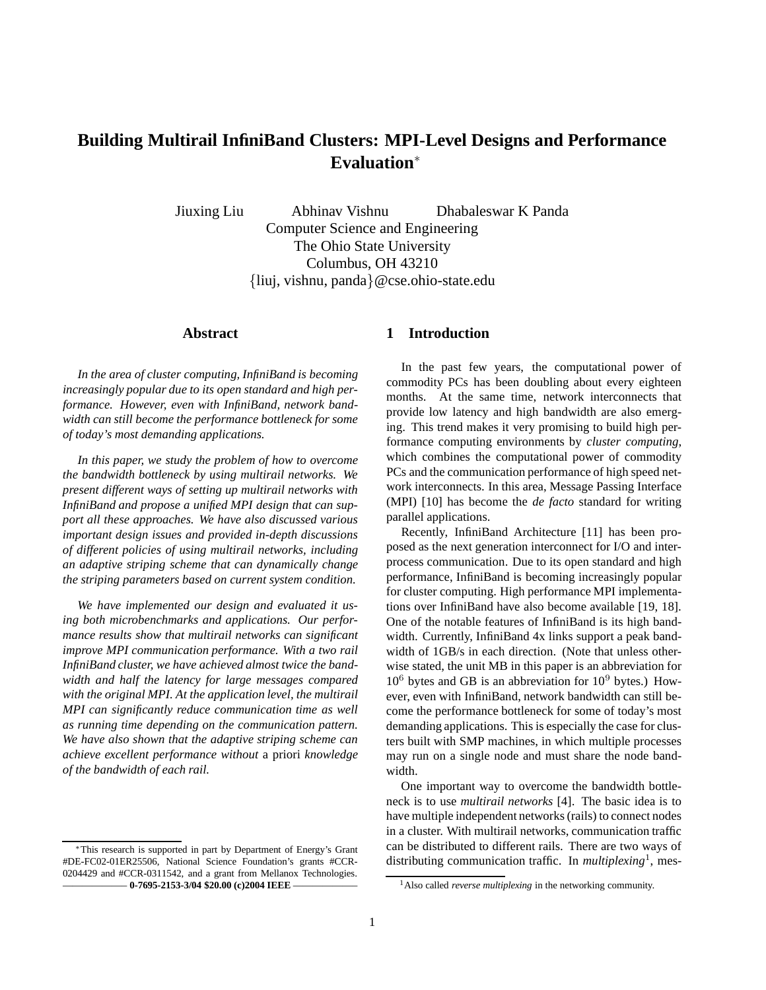# **Building Multirail InfiniBand Clusters: MPI-Level Designs and Performance Evaluation**<sup>∗</sup>

Jiuxing Liu Abhinav Vishnu Dhabaleswar K Panda Computer Science and Engineering The Ohio State University Columbus, OH 43210 {liuj, vishnu, panda}@cse.ohio-state.edu

## **Abstract**

*In the area of cluster computing, InfiniBand is becoming increasingly popular due to its open standard and high performance. However, even with InfiniBand, network bandwidth can still become the performance bottleneck for some of today's most demanding applications.*

*In this paper, we study the problem of how to overcome the bandwidth bottleneck by using multirail networks. We present different ways of setting up multirail networks with InfiniBand and propose a unified MPI design that can support all these approaches. We have also discussed various important design issues and provided in-depth discussions of different policies of using multirail networks, including an adaptive striping scheme that can dynamically change the striping parameters based on current system condition.*

*We have implemented our design and evaluated it using both microbenchmarks and applications. Our performance results show that multirail networks can significant improve MPI communication performance. With a two rail InfiniBand cluster, we have achieved almost twice the bandwidth and half the latency for large messages compared with the original MPI. At the application level, the multirail MPI can significantly reduce communication time as well as running time depending on the communication pattern. We have also shown that the adaptive striping scheme can achieve excellent performance without* a priori *knowledge of the bandwidth of each rail.*

# **1 Introduction**

In the past few years, the computational power of commodity PCs has been doubling about every eighteen months. At the same time, network interconnects that provide low latency and high bandwidth are also emerging. This trend makes it very promising to build high performance computing environments by *cluster computing*, which combines the computational power of commodity PCs and the communication performance of high speed network interconnects. In this area, Message Passing Interface (MPI) [10] has become the *de facto* standard for writing parallel applications.

Recently, InfiniBand Architecture [11] has been proposed as the next generation interconnect for I/O and interprocess communication. Due to its open standard and high performance, InfiniBand is becoming increasingly popular for cluster computing. High performance MPI implementations over InfiniBand have also become available [19, 18]. One of the notable features of InfiniBand is its high bandwidth. Currently, InfiniBand 4x links support a peak bandwidth of 1GB/s in each direction. (Note that unless otherwise stated, the unit MB in this paper is an abbreviation for  $10^6$  bytes and GB is an abbreviation for  $10^9$  bytes.) However, even with InfiniBand, network bandwidth can still become the performance bottleneck for some of today's most demanding applications. This is especially the case for clusters built with SMP machines, in which multiple processes may run on a single node and must share the node bandwidth.

One important way to overcome the bandwidth bottleneck is to use *multirail networks* [4]. The basic idea is to have multiple independent networks(rails) to connect nodes in a cluster. With multirail networks, communication traffic can be distributed to different rails. There are two ways of distributing communication traffic. In *multiplexing*<sup>1</sup> , mes-

<sup>∗</sup>This research is supported in part by Department of Energy's Grant #DE-FC02-01ER25506, National Science Foundation's grants #CCR-0204429 and #CCR-0311542, and a grant from Mellanox Technologies. ——————– **0-7695-2153-3/04 \$20.00 (c)2004 IEEE** ——————–

<sup>1</sup>Also called *reverse multiplexing* in the networking community.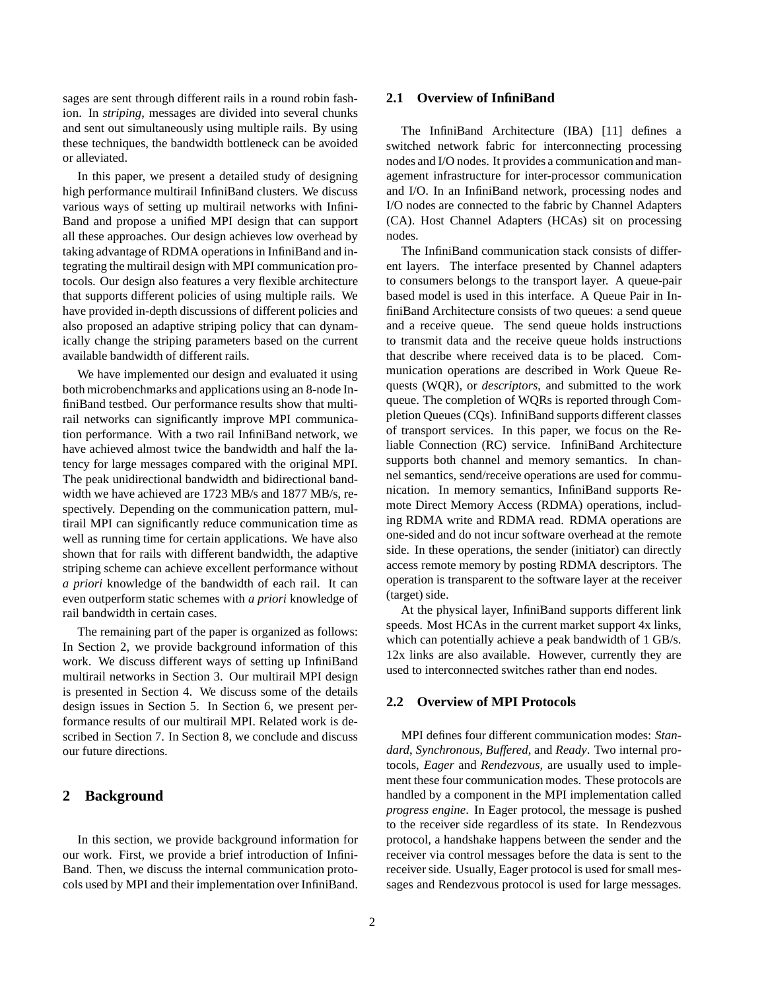sages are sent through different rails in a round robin fashion. In *striping*, messages are divided into several chunks and sent out simultaneously using multiple rails. By using these techniques, the bandwidth bottleneck can be avoided or alleviated.

In this paper, we present a detailed study of designing high performance multirail InfiniBand clusters. We discuss various ways of setting up multirail networks with Infini-Band and propose a unified MPI design that can support all these approaches. Our design achieves low overhead by taking advantage of RDMA operationsin InfiniBand and integrating the multirail design with MPI communication protocols. Our design also features a very flexible architecture that supports different policies of using multiple rails. We have provided in-depth discussions of different policies and also proposed an adaptive striping policy that can dynamically change the striping parameters based on the current available bandwidth of different rails.

We have implemented our design and evaluated it using both microbenchmarks and applications using an 8-node InfiniBand testbed. Our performance results show that multirail networks can significantly improve MPI communication performance. With a two rail InfiniBand network, we have achieved almost twice the bandwidth and half the latency for large messages compared with the original MPI. The peak unidirectional bandwidth and bidirectional bandwidth we have achieved are 1723 MB/s and 1877 MB/s, respectively. Depending on the communication pattern, multirail MPI can significantly reduce communication time as well as running time for certain applications. We have also shown that for rails with different bandwidth, the adaptive striping scheme can achieve excellent performance without *a priori* knowledge of the bandwidth of each rail. It can even outperform static schemes with *a priori* knowledge of rail bandwidth in certain cases.

The remaining part of the paper is organized as follows: In Section 2, we provide background information of this work. We discuss different ways of setting up InfiniBand multirail networks in Section 3. Our multirail MPI design is presented in Section 4. We discuss some of the details design issues in Section 5. In Section 6, we present performance results of our multirail MPI. Related work is described in Section 7. In Section 8, we conclude and discuss our future directions.

## **2 Background**

In this section, we provide background information for our work. First, we provide a brief introduction of Infini-Band. Then, we discuss the internal communication protocols used by MPI and their implementation over InfiniBand.

#### **2.1 Overview of InfiniBand**

The InfiniBand Architecture (IBA) [11] defines a switched network fabric for interconnecting processing nodes and I/O nodes. It provides a communication and management infrastructure for inter-processor communication and I/O. In an InfiniBand network, processing nodes and I/O nodes are connected to the fabric by Channel Adapters (CA). Host Channel Adapters (HCAs) sit on processing nodes.

The InfiniBand communication stack consists of different layers. The interface presented by Channel adapters to consumers belongs to the transport layer. A queue-pair based model is used in this interface. A Queue Pair in InfiniBand Architecture consists of two queues: a send queue and a receive queue. The send queue holds instructions to transmit data and the receive queue holds instructions that describe where received data is to be placed. Communication operations are described in Work Queue Requests (WQR), or *descriptors*, and submitted to the work queue. The completion of WQRs is reported through Completion Queues (CQs). InfiniBand supports different classes of transport services. In this paper, we focus on the Reliable Connection (RC) service. InfiniBand Architecture supports both channel and memory semantics. In channel semantics, send/receive operations are used for communication. In memory semantics, InfiniBand supports Remote Direct Memory Access (RDMA) operations, including RDMA write and RDMA read. RDMA operations are one-sided and do not incur software overhead at the remote side. In these operations, the sender (initiator) can directly access remote memory by posting RDMA descriptors. The operation is transparent to the software layer at the receiver (target) side.

At the physical layer, InfiniBand supports different link speeds. Most HCAs in the current market support 4x links, which can potentially achieve a peak bandwidth of 1 GB/s. 12x links are also available. However, currently they are used to interconnected switches rather than end nodes.

## **2.2 Overview of MPI Protocols**

MPI defines four different communication modes: *Standard*, *Synchronous*, *Buffered*, and *Ready*. Two internal protocols, *Eager* and *Rendezvous*, are usually used to implement these four communication modes. These protocols are handled by a component in the MPI implementation called *progress engine*. In Eager protocol, the message is pushed to the receiver side regardless of its state. In Rendezvous protocol, a handshake happens between the sender and the receiver via control messages before the data is sent to the receiver side. Usually, Eager protocol is used for small messages and Rendezvous protocol is used for large messages.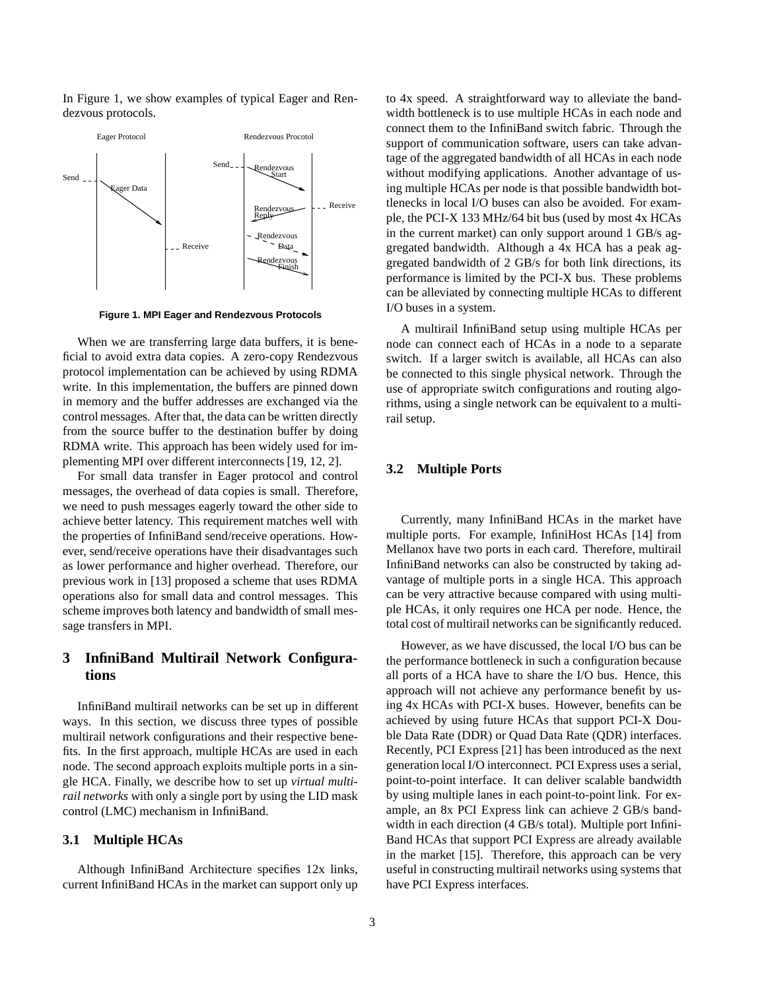



**Figure 1. MPI Eager and Rendezvous Protocols**

When we are transferring large data buffers, it is beneficial to avoid extra data copies. A zero-copy Rendezvous protocol implementation can be achieved by using RDMA write. In this implementation, the buffers are pinned down in memory and the buffer addresses are exchanged via the control messages. After that, the data can be written directly from the source buffer to the destination buffer by doing RDMA write. This approach has been widely used for implementing MPI over different interconnects [19, 12, 2].

For small data transfer in Eager protocol and control messages, the overhead of data copies is small. Therefore, we need to push messages eagerly toward the other side to achieve better latency. This requirement matches well with the properties of InfiniBand send/receive operations. However, send/receive operations have their disadvantages such as lower performance and higher overhead. Therefore, our previous work in [13] proposed a scheme that uses RDMA operations also for small data and control messages. This scheme improves both latency and bandwidth of small message transfers in MPI.

# **3 InfiniBand Multirail Network Configurations**

InfiniBand multirail networks can be set up in different ways. In this section, we discuss three types of possible multirail network configurations and their respective benefits. In the first approach, multiple HCAs are used in each node. The second approach exploits multiple ports in a single HCA. Finally, we describe how to set up *virtual multirail networks* with only a single port by using the LID mask control (LMC) mechanism in InfiniBand.

## **3.1 Multiple HCAs**

Although InfiniBand Architecture specifies 12x links, current InfiniBand HCAs in the market can support only up to 4x speed. A straightforward way to alleviate the bandwidth bottleneck is to use multiple HCAs in each node and connect them to the InfiniBand switch fabric. Through the support of communication software, users can take advantage of the aggregated bandwidth of all HCAs in each node without modifying applications. Another advantage of using multiple HCAs per node is that possible bandwidth bottlenecks in local I/O buses can also be avoided. For example, the PCI-X 133 MHz/64 bit bus (used by most 4x HCAs in the current market) can only support around 1 GB/s aggregated bandwidth. Although a 4x HCA has a peak aggregated bandwidth of 2 GB/s for both link directions, its performance is limited by the PCI-X bus. These problems can be alleviated by connecting multiple HCAs to different I/O buses in a system.

A multirail InfiniBand setup using multiple HCAs per node can connect each of HCAs in a node to a separate switch. If a larger switch is available, all HCAs can also be connected to this single physical network. Through the use of appropriate switch configurations and routing algorithms, using a single network can be equivalent to a multirail setup.

## **3.2 Multiple Ports**

Currently, many InfiniBand HCAs in the market have multiple ports. For example, InfiniHost HCAs [14] from Mellanox have two ports in each card. Therefore, multirail InfiniBand networks can also be constructed by taking advantage of multiple ports in a single HCA. This approach can be very attractive because compared with using multiple HCAs, it only requires one HCA per node. Hence, the total cost of multirail networks can be significantly reduced.

However, as we have discussed, the local I/O bus can be the performance bottleneck in such a configuration because all ports of a HCA have to share the I/O bus. Hence, this approach will not achieve any performance benefit by using 4x HCAs with PCI-X buses. However, benefits can be achieved by using future HCAs that support PCI-X Double Data Rate (DDR) or Quad Data Rate (QDR) interfaces. Recently, PCI Express [21] has been introduced as the next generation local I/O interconnect. PCI Express uses a serial, point-to-point interface. It can deliver scalable bandwidth by using multiple lanes in each point-to-point link. For example, an 8x PCI Express link can achieve 2 GB/s bandwidth in each direction (4 GB/s total). Multiple port Infini-Band HCAs that support PCI Express are already available in the market [15]. Therefore, this approach can be very useful in constructing multirail networks using systems that have PCI Express interfaces.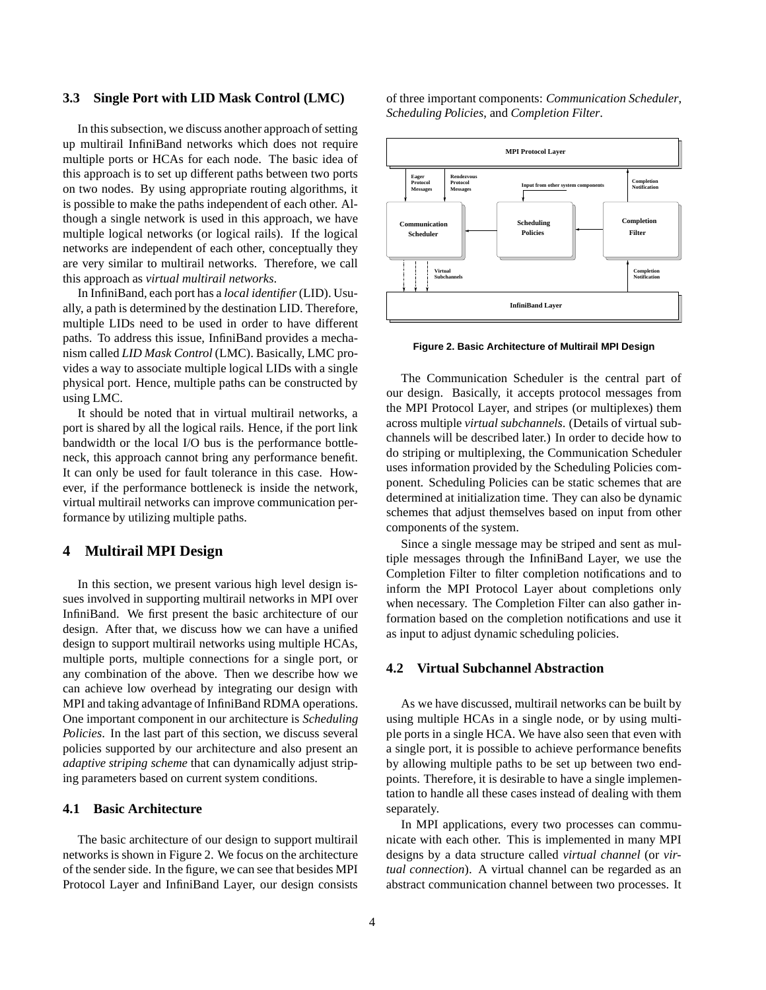#### **3.3 Single Port with LID Mask Control (LMC)**

In this subsection, we discuss another approach of setting up multirail InfiniBand networks which does not require multiple ports or HCAs for each node. The basic idea of this approach is to set up different paths between two ports on two nodes. By using appropriate routing algorithms, it is possible to make the paths independent of each other. Although a single network is used in this approach, we have multiple logical networks (or logical rails). If the logical networks are independent of each other, conceptually they are very similar to multirail networks. Therefore, we call this approach as *virtual multirail networks*.

In InfiniBand, each port has a *local identifier*(LID). Usually, a path is determined by the destination LID. Therefore, multiple LIDs need to be used in order to have different paths. To address this issue, InfiniBand provides a mechanism called *LID Mask Control* (LMC). Basically, LMC provides a way to associate multiple logical LIDs with a single physical port. Hence, multiple paths can be constructed by using LMC.

It should be noted that in virtual multirail networks, a port is shared by all the logical rails. Hence, if the port link bandwidth or the local I/O bus is the performance bottleneck, this approach cannot bring any performance benefit. It can only be used for fault tolerance in this case. However, if the performance bottleneck is inside the network, virtual multirail networks can improve communication performance by utilizing multiple paths.

## **4 Multirail MPI Design**

In this section, we present various high level design issues involved in supporting multirail networks in MPI over InfiniBand. We first present the basic architecture of our design. After that, we discuss how we can have a unified design to support multirail networks using multiple HCAs, multiple ports, multiple connections for a single port, or any combination of the above. Then we describe how we can achieve low overhead by integrating our design with MPI and taking advantage of InfiniBand RDMA operations. One important component in our architecture is *Scheduling Policies*. In the last part of this section, we discuss several policies supported by our architecture and also present an *adaptive striping scheme* that can dynamically adjust striping parameters based on current system conditions.

#### **4.1 Basic Architecture**

The basic architecture of our design to support multirail networks is shown in Figure 2. We focus on the architecture of the sender side. In the figure, we can see that besides MPI Protocol Layer and InfiniBand Layer, our design consists

of three important components: *Communication Scheduler*, *Scheduling Policies*, and *Completion Filter*.



**Figure 2. Basic Architecture of Multirail MPI Design**

The Communication Scheduler is the central part of our design. Basically, it accepts protocol messages from the MPI Protocol Layer, and stripes (or multiplexes) them across multiple *virtual subchannels*. (Details of virtual subchannels will be described later.) In order to decide how to do striping or multiplexing, the Communication Scheduler uses information provided by the Scheduling Policies component. Scheduling Policies can be static schemes that are determined at initialization time. They can also be dynamic schemes that adjust themselves based on input from other components of the system.

Since a single message may be striped and sent as multiple messages through the InfiniBand Layer, we use the Completion Filter to filter completion notifications and to inform the MPI Protocol Layer about completions only when necessary. The Completion Filter can also gather information based on the completion notifications and use it as input to adjust dynamic scheduling policies.

## **4.2 Virtual Subchannel Abstraction**

As we have discussed, multirail networks can be built by using multiple HCAs in a single node, or by using multiple ports in a single HCA. We have also seen that even with a single port, it is possible to achieve performance benefits by allowing multiple paths to be set up between two endpoints. Therefore, it is desirable to have a single implementation to handle all these cases instead of dealing with them separately.

In MPI applications, every two processes can communicate with each other. This is implemented in many MPI designs by a data structure called *virtual channel* (or *virtual connection*). A virtual channel can be regarded as an abstract communication channel between two processes. It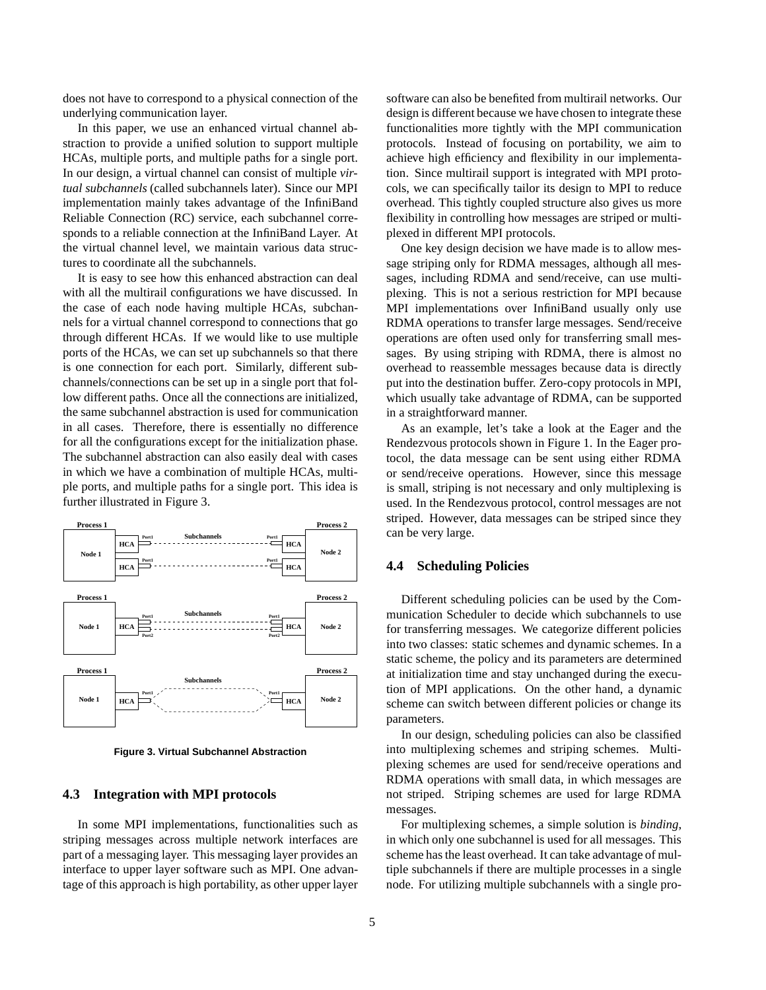does not have to correspond to a physical connection of the underlying communication layer.

In this paper, we use an enhanced virtual channel abstraction to provide a unified solution to support multiple HCAs, multiple ports, and multiple paths for a single port. In our design, a virtual channel can consist of multiple *virtual subchannels* (called subchannels later). Since our MPI implementation mainly takes advantage of the InfiniBand Reliable Connection (RC) service, each subchannel corresponds to a reliable connection at the InfiniBand Layer. At the virtual channel level, we maintain various data structures to coordinate all the subchannels.

It is easy to see how this enhanced abstraction can deal with all the multirail configurations we have discussed. In the case of each node having multiple HCAs, subchannels for a virtual channel correspond to connections that go through different HCAs. If we would like to use multiple ports of the HCAs, we can set up subchannels so that there is one connection for each port. Similarly, different subchannels/connections can be set up in a single port that follow different paths. Once all the connections are initialized, the same subchannel abstraction is used for communication in all cases. Therefore, there is essentially no difference for all the configurations except for the initialization phase. The subchannel abstraction can also easily deal with cases in which we have a combination of multiple HCAs, multiple ports, and multiple paths for a single port. This idea is further illustrated in Figure 3.



**Figure 3. Virtual Subchannel Abstraction**

#### **4.3 Integration with MPI protocols**

In some MPI implementations, functionalities such as striping messages across multiple network interfaces are part of a messaging layer. This messaging layer provides an interface to upper layer software such as MPI. One advantage of this approach is high portability, as other upper layer software can also be benefited from multirail networks. Our design is different because we have chosen to integrate these functionalities more tightly with the MPI communication protocols. Instead of focusing on portability, we aim to achieve high efficiency and flexibility in our implementation. Since multirail support is integrated with MPI protocols, we can specifically tailor its design to MPI to reduce overhead. This tightly coupled structure also gives us more flexibility in controlling how messages are striped or multiplexed in different MPI protocols.

One key design decision we have made is to allow message striping only for RDMA messages, although all messages, including RDMA and send/receive, can use multiplexing. This is not a serious restriction for MPI because MPI implementations over InfiniBand usually only use RDMA operations to transfer large messages. Send/receive operations are often used only for transferring small messages. By using striping with RDMA, there is almost no overhead to reassemble messages because data is directly put into the destination buffer. Zero-copy protocols in MPI, which usually take advantage of RDMA, can be supported in a straightforward manner.

As an example, let's take a look at the Eager and the Rendezvous protocols shown in Figure 1. In the Eager protocol, the data message can be sent using either RDMA or send/receive operations. However, since this message is small, striping is not necessary and only multiplexing is used. In the Rendezvous protocol, control messages are not striped. However, data messages can be striped since they can be very large.

#### **4.4 Scheduling Policies**

Different scheduling policies can be used by the Communication Scheduler to decide which subchannels to use for transferring messages. We categorize different policies into two classes: static schemes and dynamic schemes. In a static scheme, the policy and its parameters are determined at initialization time and stay unchanged during the execution of MPI applications. On the other hand, a dynamic scheme can switch between different policies or change its parameters.

In our design, scheduling policies can also be classified into multiplexing schemes and striping schemes. Multiplexing schemes are used for send/receive operations and RDMA operations with small data, in which messages are not striped. Striping schemes are used for large RDMA messages.

For multiplexing schemes, a simple solution is *binding*, in which only one subchannel is used for all messages. This scheme has the least overhead. It can take advantage of multiple subchannels if there are multiple processes in a single node. For utilizing multiple subchannels with a single pro-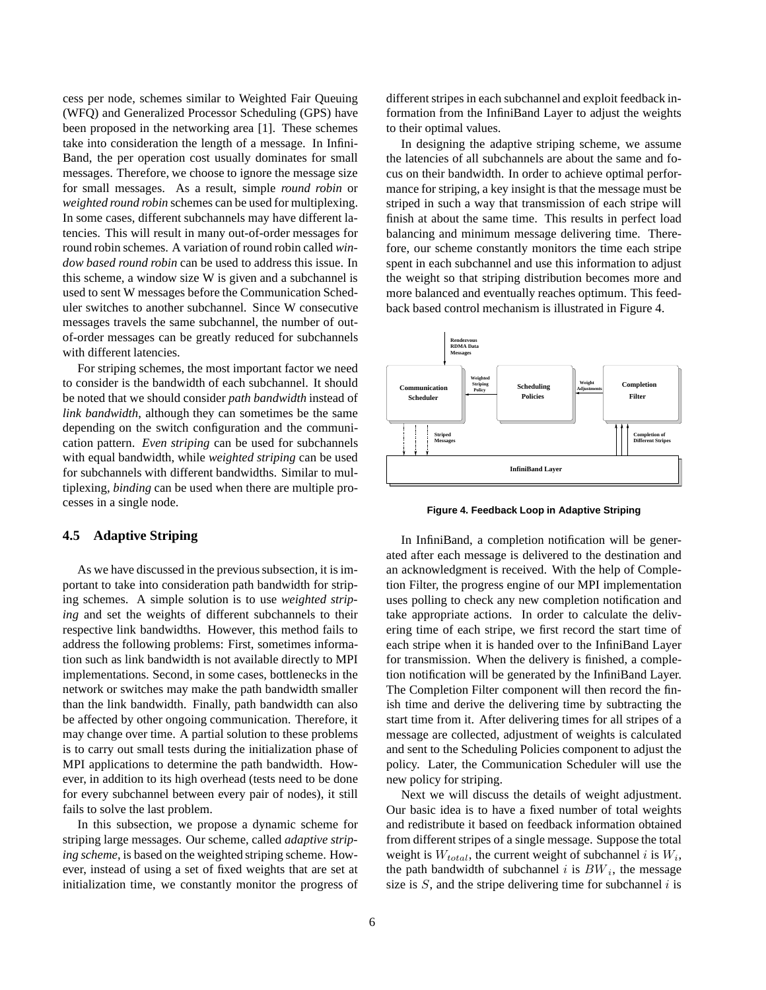cess per node, schemes similar to Weighted Fair Queuing (WFQ) and Generalized Processor Scheduling (GPS) have been proposed in the networking area [1]. These schemes take into consideration the length of a message. In Infini-Band, the per operation cost usually dominates for small messages. Therefore, we choose to ignore the message size for small messages. As a result, simple *round robin* or *weighted round robin* schemes can be used for multiplexing. In some cases, different subchannels may have different latencies. This will result in many out-of-order messages for round robin schemes. A variation of round robin called *window based round robin* can be used to address this issue. In this scheme, a window size W is given and a subchannel is used to sent W messages before the Communication Scheduler switches to another subchannel. Since W consecutive messages travels the same subchannel, the number of outof-order messages can be greatly reduced for subchannels with different latencies.

For striping schemes, the most important factor we need to consider is the bandwidth of each subchannel. It should be noted that we should consider *path bandwidth* instead of *link bandwidth*, although they can sometimes be the same depending on the switch configuration and the communication pattern. *Even striping* can be used for subchannels with equal bandwidth, while *weighted striping* can be used for subchannels with different bandwidths. Similar to multiplexing, *binding* can be used when there are multiple processes in a single node.

## **4.5 Adaptive Striping**

As we have discussed in the previous subsection, it is important to take into consideration path bandwidth for striping schemes. A simple solution is to use *weighted striping* and set the weights of different subchannels to their respective link bandwidths. However, this method fails to address the following problems: First, sometimes information such as link bandwidth is not available directly to MPI implementations. Second, in some cases, bottlenecks in the network or switches may make the path bandwidth smaller than the link bandwidth. Finally, path bandwidth can also be affected by other ongoing communication. Therefore, it may change over time. A partial solution to these problems is to carry out small tests during the initialization phase of MPI applications to determine the path bandwidth. However, in addition to its high overhead (tests need to be done for every subchannel between every pair of nodes), it still fails to solve the last problem.

In this subsection, we propose a dynamic scheme for striping large messages. Our scheme, called *adaptive striping scheme*, is based on the weighted striping scheme. However, instead of using a set of fixed weights that are set at initialization time, we constantly monitor the progress of different stripes in each subchannel and exploit feedback information from the InfiniBand Layer to adjust the weights to their optimal values.

In designing the adaptive striping scheme, we assume the latencies of all subchannels are about the same and focus on their bandwidth. In order to achieve optimal performance for striping, a key insight is that the message must be striped in such a way that transmission of each stripe will finish at about the same time. This results in perfect load balancing and minimum message delivering time. Therefore, our scheme constantly monitors the time each stripe spent in each subchannel and use this information to adjust the weight so that striping distribution becomes more and more balanced and eventually reaches optimum. This feedback based control mechanism is illustrated in Figure 4.



**Figure 4. Feedback Loop in Adaptive Striping**

In InfiniBand, a completion notification will be generated after each message is delivered to the destination and an acknowledgment is received. With the help of Completion Filter, the progress engine of our MPI implementation uses polling to check any new completion notification and take appropriate actions. In order to calculate the delivering time of each stripe, we first record the start time of each stripe when it is handed over to the InfiniBand Layer for transmission. When the delivery is finished, a completion notification will be generated by the InfiniBand Layer. The Completion Filter component will then record the finish time and derive the delivering time by subtracting the start time from it. After delivering times for all stripes of a message are collected, adjustment of weights is calculated and sent to the Scheduling Policies component to adjust the policy. Later, the Communication Scheduler will use the new policy for striping.

Next we will discuss the details of weight adjustment. Our basic idea is to have a fixed number of total weights and redistribute it based on feedback information obtained from different stripes of a single message. Suppose the total weight is  $W_{total}$ , the current weight of subchannel i is  $W_i$ , the path bandwidth of subchannel  $i$  is  $BW_i$ , the message size is  $S$ , and the stripe delivering time for subchannel  $i$  is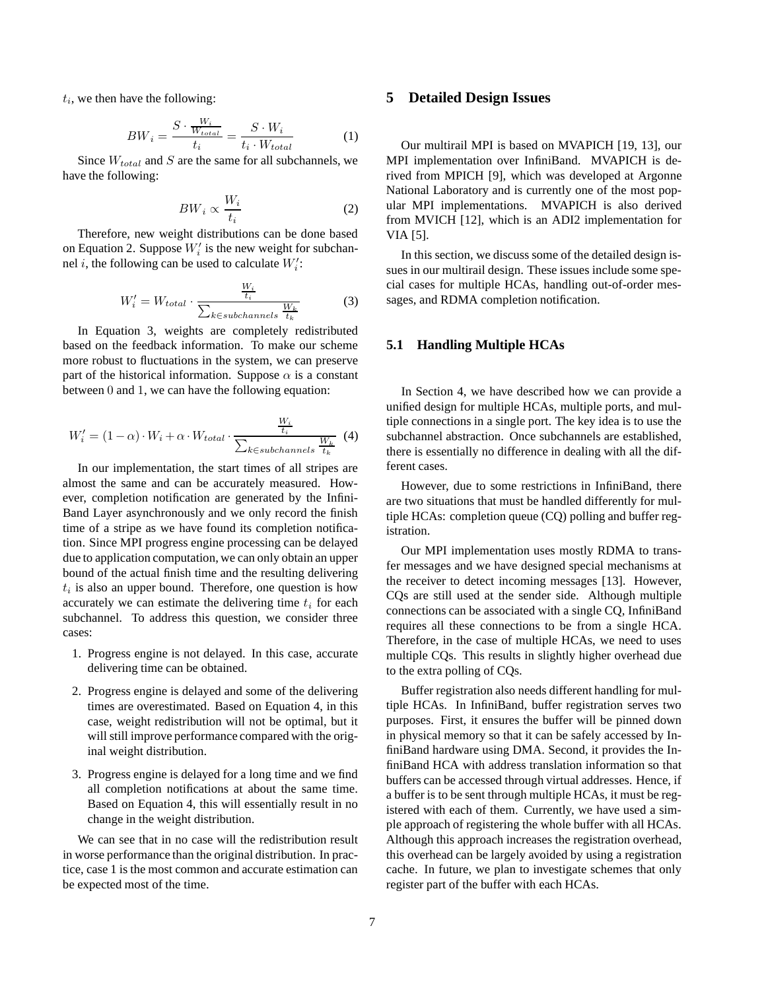$t_i$ , we then have the following:

$$
BW_i = \frac{S \cdot \frac{W_i}{W_{total}}}{t_i} = \frac{S \cdot W_i}{t_i \cdot W_{total}}
$$
(1)

Since  $W_{total}$  and S are the same for all subchannels, we have the following:

$$
BW_i \propto \frac{W_i}{t_i} \tag{2}
$$

Therefore, new weight distributions can be done based on Equation 2. Suppose  $W_i'$  is the new weight for subchannel *i*, the following can be used to calculate  $W_i'$ :

$$
W'_{i} = W_{total} \cdot \frac{\frac{W_{i}}{t_{i}}}{\sum_{k \in subchannels} \frac{W_{k}}{t_{k}}}
$$
(3)

In Equation 3, weights are completely redistributed based on the feedback information. To make our scheme more robust to fluctuations in the system, we can preserve part of the historical information. Suppose  $\alpha$  is a constant between 0 and 1, we can have the following equation:

$$
W'_{i} = (1 - \alpha) \cdot W_{i} + \alpha \cdot W_{total} \cdot \frac{\frac{W_{i}}{t_{i}}}{\sum_{k \in subchannels} \frac{W_{k}}{t_{k}}} \tag{4}
$$

In our implementation, the start times of all stripes are almost the same and can be accurately measured. However, completion notification are generated by the Infini-Band Layer asynchronously and we only record the finish time of a stripe as we have found its completion notification. Since MPI progress engine processing can be delayed due to application computation, we can only obtain an upper bound of the actual finish time and the resulting delivering  $t_i$  is also an upper bound. Therefore, one question is how accurately we can estimate the delivering time  $t_i$  for each subchannel. To address this question, we consider three cases:

- 1. Progress engine is not delayed. In this case, accurate delivering time can be obtained.
- 2. Progress engine is delayed and some of the delivering times are overestimated. Based on Equation 4, in this case, weight redistribution will not be optimal, but it will still improve performance compared with the original weight distribution.
- 3. Progress engine is delayed for a long time and we find all completion notifications at about the same time. Based on Equation 4, this will essentially result in no change in the weight distribution.

We can see that in no case will the redistribution result in worse performance than the original distribution. In practice, case 1 is the most common and accurate estimation can be expected most of the time.

# **5 Detailed Design Issues**

Our multirail MPI is based on MVAPICH [19, 13], our MPI implementation over InfiniBand. MVAPICH is derived from MPICH [9], which was developed at Argonne National Laboratory and is currently one of the most popular MPI implementations. MVAPICH is also derived from MVICH [12], which is an ADI2 implementation for VIA [5].

In this section, we discuss some of the detailed design issues in our multirail design. These issues include some special cases for multiple HCAs, handling out-of-order messages, and RDMA completion notification.

#### **5.1 Handling Multiple HCAs**

In Section 4, we have described how we can provide a unified design for multiple HCAs, multiple ports, and multiple connections in a single port. The key idea is to use the subchannel abstraction. Once subchannels are established, there is essentially no difference in dealing with all the different cases.

However, due to some restrictions in InfiniBand, there are two situations that must be handled differently for multiple HCAs: completion queue (CQ) polling and buffer registration.

Our MPI implementation uses mostly RDMA to transfer messages and we have designed special mechanisms at the receiver to detect incoming messages [13]. However, CQs are still used at the sender side. Although multiple connections can be associated with a single CQ, InfiniBand requires all these connections to be from a single HCA. Therefore, in the case of multiple HCAs, we need to uses multiple CQs. This results in slightly higher overhead due to the extra polling of CQs.

Buffer registration also needs different handling for multiple HCAs. In InfiniBand, buffer registration serves two purposes. First, it ensures the buffer will be pinned down in physical memory so that it can be safely accessed by InfiniBand hardware using DMA. Second, it provides the InfiniBand HCA with address translation information so that buffers can be accessed through virtual addresses. Hence, if a buffer is to be sent through multiple HCAs, it must be registered with each of them. Currently, we have used a simple approach of registering the whole buffer with all HCAs. Although this approach increases the registration overhead, this overhead can be largely avoided by using a registration cache. In future, we plan to investigate schemes that only register part of the buffer with each HCAs.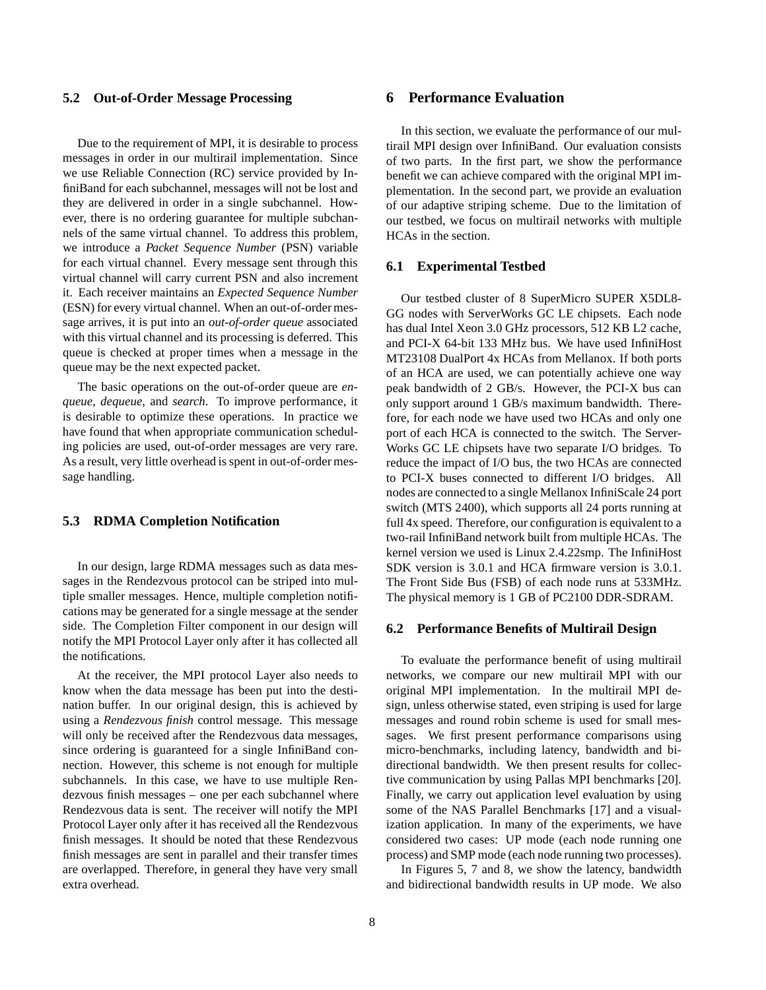#### **5.2 Out-of-Order Message Processing**

Due to the requirement of MPI, it is desirable to process messages in order in our multirail implementation. Since we use Reliable Connection (RC) service provided by InfiniBand for each subchannel, messages will not be lost and they are delivered in order in a single subchannel. However, there is no ordering guarantee for multiple subchannels of the same virtual channel. To address this problem, we introduce a *Packet Sequence Number* (PSN) variable for each virtual channel. Every message sent through this virtual channel will carry current PSN and also increment it. Each receiver maintains an *Expected Sequence Number* (ESN) for every virtual channel. When an out-of-ordermessage arrives, it is put into an *out-of-order queue* associated with this virtual channel and its processing is deferred. This queue is checked at proper times when a message in the queue may be the next expected packet.

The basic operations on the out-of-order queue are *enqueue*, *dequeue*, and *search*. To improve performance, it is desirable to optimize these operations. In practice we have found that when appropriate communication scheduling policies are used, out-of-order messages are very rare. As a result, very little overhead is spent in out-of-order message handling.

#### **5.3 RDMA Completion Notification**

In our design, large RDMA messages such as data messages in the Rendezvous protocol can be striped into multiple smaller messages. Hence, multiple completion notifications may be generated for a single message at the sender side. The Completion Filter component in our design will notify the MPI Protocol Layer only after it has collected all the notifications.

At the receiver, the MPI protocol Layer also needs to know when the data message has been put into the destination buffer. In our original design, this is achieved by using a *Rendezvous finish* control message. This message will only be received after the Rendezvous data messages, since ordering is guaranteed for a single InfiniBand connection. However, this scheme is not enough for multiple subchannels. In this case, we have to use multiple Rendezvous finish messages – one per each subchannel where Rendezvous data is sent. The receiver will notify the MPI Protocol Layer only after it has received all the Rendezvous finish messages. It should be noted that these Rendezvous finish messages are sent in parallel and their transfer times are overlapped. Therefore, in general they have very small extra overhead.

# **6 Performance Evaluation**

In this section, we evaluate the performance of our multirail MPI design over InfiniBand. Our evaluation consists of two parts. In the first part, we show the performance benefit we can achieve compared with the original MPI implementation. In the second part, we provide an evaluation of our adaptive striping scheme. Due to the limitation of our testbed, we focus on multirail networks with multiple HCAs in the section.

#### **6.1 Experimental Testbed**

Our testbed cluster of 8 SuperMicro SUPER X5DL8- GG nodes with ServerWorks GC LE chipsets. Each node has dual Intel Xeon 3.0 GHz processors, 512 KB L2 cache, and PCI-X 64-bit 133 MHz bus. We have used InfiniHost MT23108 DualPort 4x HCAs from Mellanox. If both ports of an HCA are used, we can potentially achieve one way peak bandwidth of 2 GB/s. However, the PCI-X bus can only support around 1 GB/s maximum bandwidth. Therefore, for each node we have used two HCAs and only one port of each HCA is connected to the switch. The Server-Works GC LE chipsets have two separate I/O bridges. To reduce the impact of I/O bus, the two HCAs are connected to PCI-X buses connected to different I/O bridges. All nodes are connected to a single Mellanox InfiniScale 24 port switch (MTS 2400), which supports all 24 ports running at full 4x speed. Therefore, our configuration is equivalent to a two-rail InfiniBand network built from multiple HCAs. The kernel version we used is Linux 2.4.22smp. The InfiniHost SDK version is 3.0.1 and HCA firmware version is 3.0.1. The Front Side Bus (FSB) of each node runs at 533MHz. The physical memory is 1 GB of PC2100 DDR-SDRAM.

#### **6.2 Performance Benefits of Multirail Design**

To evaluate the performance benefit of using multirail networks, we compare our new multirail MPI with our original MPI implementation. In the multirail MPI design, unless otherwise stated, even striping is used for large messages and round robin scheme is used for small messages. We first present performance comparisons using micro-benchmarks, including latency, bandwidth and bidirectional bandwidth. We then present results for collective communication by using Pallas MPI benchmarks [20]. Finally, we carry out application level evaluation by using some of the NAS Parallel Benchmarks [17] and a visualization application. In many of the experiments, we have considered two cases: UP mode (each node running one process) and SMP mode (each node running two processes).

In Figures 5, 7 and 8, we show the latency, bandwidth and bidirectional bandwidth results in UP mode. We also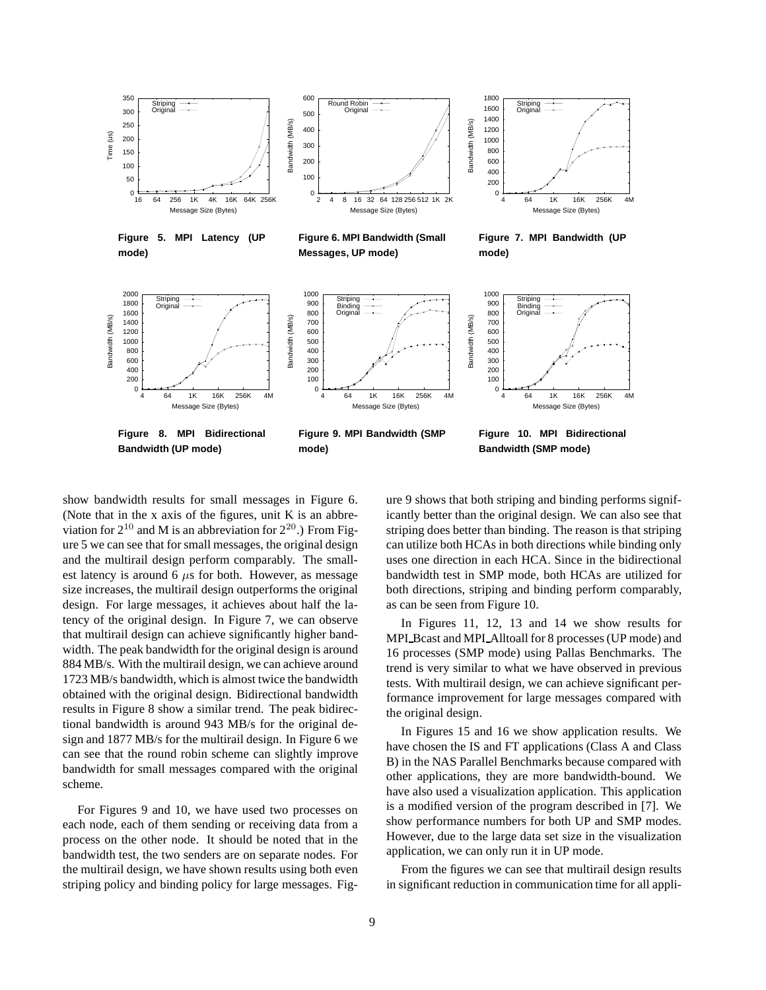

show bandwidth results for small messages in Figure 6. (Note that in the x axis of the figures, unit K is an abbreviation for  $2^{10}$  and M is an abbreviation for  $2^{20}$ .) From Figure 5 we can see that for small messages, the original design and the multirail design perform comparably. The smallest latency is around 6  $\mu$ s for both. However, as message size increases, the multirail design outperforms the original design. For large messages, it achieves about half the latency of the original design. In Figure 7, we can observe that multirail design can achieve significantly higher bandwidth. The peak bandwidth for the original design is around 884 MB/s. With the multirail design, we can achieve around 1723 MB/s bandwidth, which is almost twice the bandwidth obtained with the original design. Bidirectional bandwidth results in Figure 8 show a similar trend. The peak bidirectional bandwidth is around 943 MB/s for the original design and 1877 MB/s for the multirail design. In Figure 6 we can see that the round robin scheme can slightly improve bandwidth for small messages compared with the original scheme.

For Figures 9 and 10, we have used two processes on each node, each of them sending or receiving data from a process on the other node. It should be noted that in the bandwidth test, the two senders are on separate nodes. For the multirail design, we have shown results using both even striping policy and binding policy for large messages. Figure 9 shows that both striping and binding performs significantly better than the original design. We can also see that striping does better than binding. The reason is that striping can utilize both HCAs in both directions while binding only uses one direction in each HCA. Since in the bidirectional bandwidth test in SMP mode, both HCAs are utilized for both directions, striping and binding perform comparably, as can be seen from Figure 10.

In Figures 11, 12, 13 and 14 we show results for MPI\_Bcast and MPI\_Alltoall for 8 processes (UP mode) and 16 processes (SMP mode) using Pallas Benchmarks. The trend is very similar to what we have observed in previous tests. With multirail design, we can achieve significant performance improvement for large messages compared with the original design.

In Figures 15 and 16 we show application results. We have chosen the IS and FT applications (Class A and Class B) in the NAS Parallel Benchmarks because compared with other applications, they are more bandwidth-bound. We have also used a visualization application. This application is a modified version of the program described in [7]. We show performance numbers for both UP and SMP modes. However, due to the large data set size in the visualization application, we can only run it in UP mode.

From the figures we can see that multirail design results in significant reduction in communication time for all appli-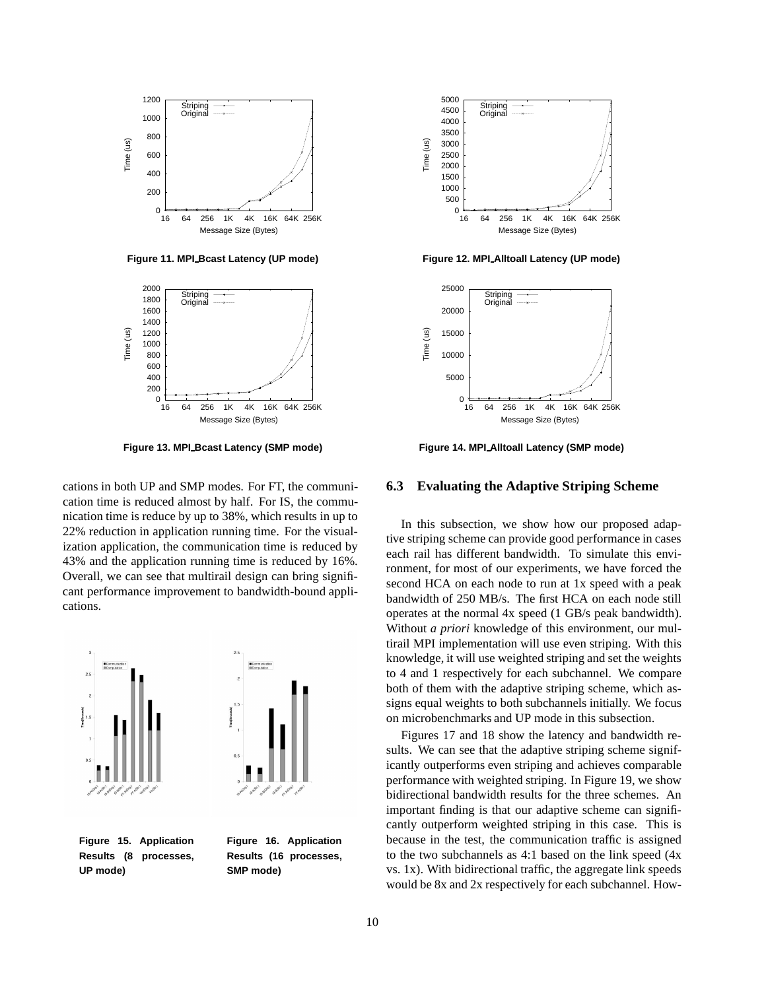

**Figure 11. MPI Bcast Latency (UP mode)**



**Figure 13. MPI Bcast Latency (SMP mode)**

cations in both UP and SMP modes. For FT, the communication time is reduced almost by half. For IS, the communication time is reduce by up to 38%, which results in up to 22% reduction in application running time. For the visualization application, the communication time is reduced by 43% and the application running time is reduced by 16%. Overall, we can see that multirail design can bring significant performance improvement to bandwidth-bound applications.





**Figure 12. MPI Alltoall Latency (UP mode)**



**Figure 14. MPI Alltoall Latency (SMP mode)**

### **6.3 Evaluating the Adaptive Striping Scheme**

In this subsection, we show how our proposed adaptive striping scheme can provide good performance in cases each rail has different bandwidth. To simulate this environment, for most of our experiments, we have forced the second HCA on each node to run at 1x speed with a peak bandwidth of 250 MB/s. The first HCA on each node still operates at the normal 4x speed (1 GB/s peak bandwidth). Without *a priori* knowledge of this environment, our multirail MPI implementation will use even striping. With this knowledge, it will use weighted striping and set the weights to 4 and 1 respectively for each subchannel. We compare both of them with the adaptive striping scheme, which assigns equal weights to both subchannels initially. We focus on microbenchmarks and UP mode in this subsection.

Figures 17 and 18 show the latency and bandwidth results. We can see that the adaptive striping scheme significantly outperforms even striping and achieves comparable performance with weighted striping. In Figure 19, we show bidirectional bandwidth results for the three schemes. An important finding is that our adaptive scheme can significantly outperform weighted striping in this case. This is because in the test, the communication traffic is assigned to the two subchannels as 4:1 based on the link speed (4x vs. 1x). With bidirectional traffic, the aggregate link speeds would be 8x and 2x respectively for each subchannel. How-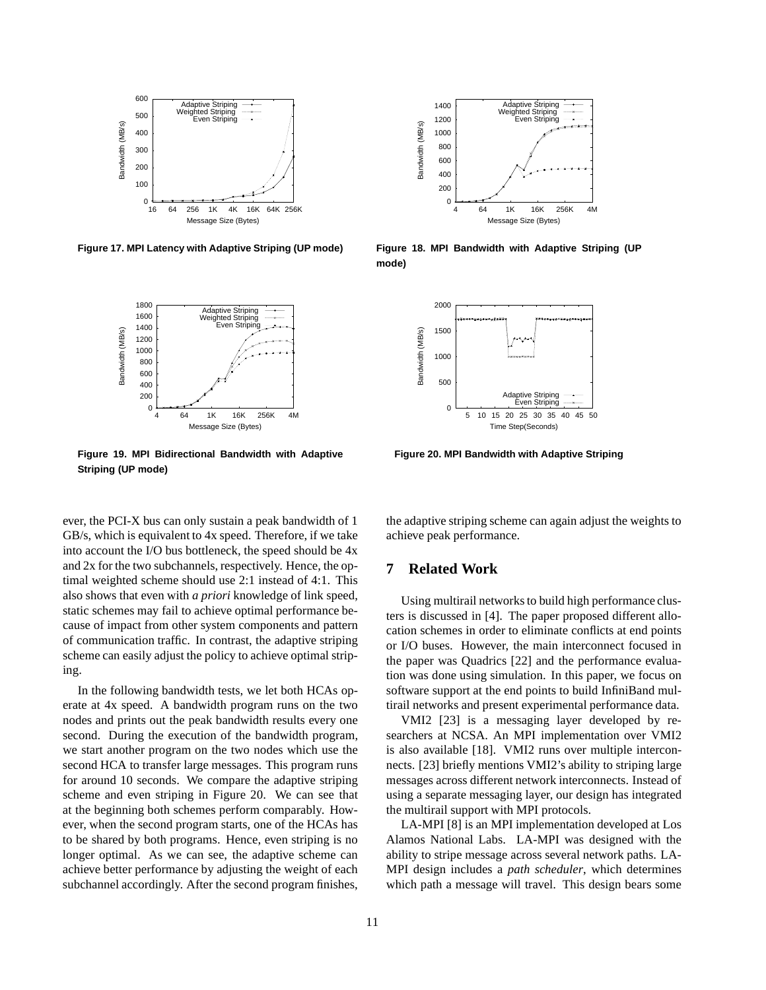

**Figure 17. MPI Latency with Adaptive Striping (UP mode)**



**Figure 19. MPI Bidirectional Bandwidth with Adaptive Striping (UP mode)**

ever, the PCI-X bus can only sustain a peak bandwidth of 1 GB/s, which is equivalent to 4x speed. Therefore, if we take into account the I/O bus bottleneck, the speed should be 4x and 2x for the two subchannels, respectively. Hence, the optimal weighted scheme should use 2:1 instead of 4:1. This also shows that even with *a priori* knowledge of link speed, static schemes may fail to achieve optimal performance because of impact from other system components and pattern of communication traffic. In contrast, the adaptive striping scheme can easily adjust the policy to achieve optimal striping.

In the following bandwidth tests, we let both HCAs operate at 4x speed. A bandwidth program runs on the two nodes and prints out the peak bandwidth results every one second. During the execution of the bandwidth program, we start another program on the two nodes which use the second HCA to transfer large messages. This program runs for around 10 seconds. We compare the adaptive striping scheme and even striping in Figure 20. We can see that at the beginning both schemes perform comparably. However, when the second program starts, one of the HCAs has to be shared by both programs. Hence, even striping is no longer optimal. As we can see, the adaptive scheme can achieve better performance by adjusting the weight of each subchannel accordingly. After the second program finishes,



**Figure 18. MPI Bandwidth with Adaptive Striping (UP mode)**



**Figure 20. MPI Bandwidth with Adaptive Striping**

the adaptive striping scheme can again adjust the weights to achieve peak performance.

# **7 Related Work**

Using multirail networks to build high performance clusters is discussed in [4]. The paper proposed different allocation schemes in order to eliminate conflicts at end points or I/O buses. However, the main interconnect focused in the paper was Quadrics [22] and the performance evaluation was done using simulation. In this paper, we focus on software support at the end points to build InfiniBand multirail networks and present experimental performance data.

VMI2 [23] is a messaging layer developed by researchers at NCSA. An MPI implementation over VMI2 is also available [18]. VMI2 runs over multiple interconnects. [23] briefly mentions VMI2's ability to striping large messages across different network interconnects. Instead of using a separate messaging layer, our design has integrated the multirail support with MPI protocols.

LA-MPI [8] is an MPI implementation developed at Los Alamos National Labs. LA-MPI was designed with the ability to stripe message across several network paths. LA-MPI design includes a *path scheduler*, which determines which path a message will travel. This design bears some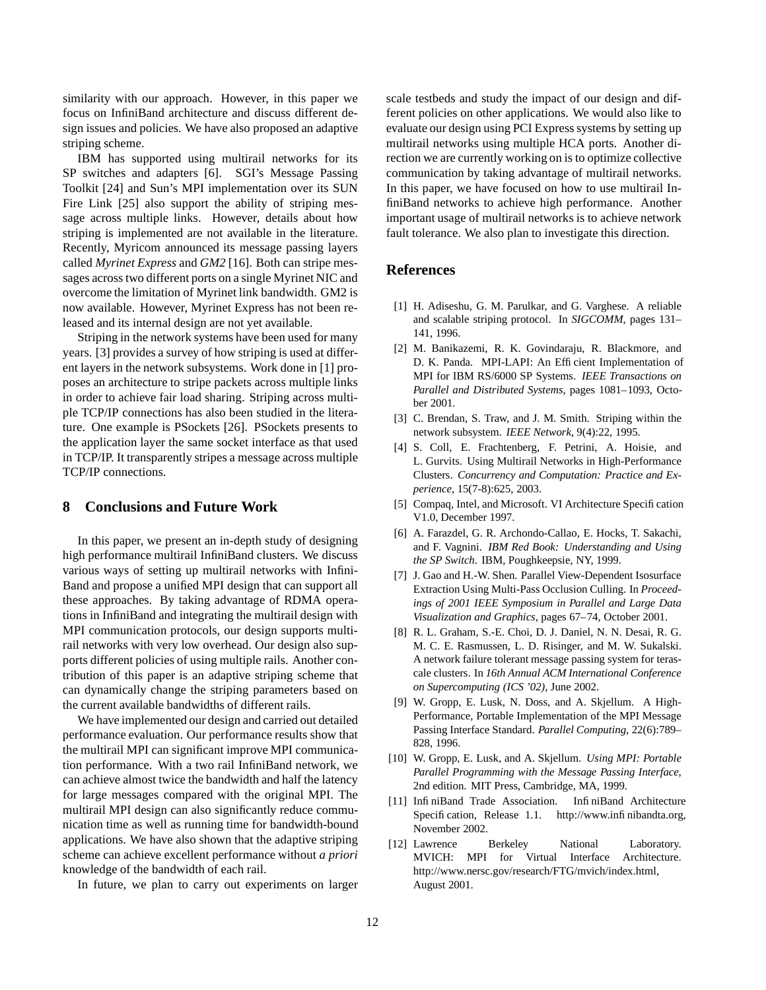similarity with our approach. However, in this paper we focus on InfiniBand architecture and discuss different design issues and policies. We have also proposed an adaptive striping scheme.

IBM has supported using multirail networks for its SP switches and adapters [6]. SGI's Message Passing Toolkit [24] and Sun's MPI implementation over its SUN Fire Link [25] also support the ability of striping message across multiple links. However, details about how striping is implemented are not available in the literature. Recently, Myricom announced its message passing layers called *Myrinet Express* and *GM2* [16]. Both can stripe messages across two different ports on a single Myrinet NIC and overcome the limitation of Myrinet link bandwidth. GM2 is now available. However, Myrinet Express has not been released and its internal design are not yet available.

Striping in the network systems have been used for many years. [3] provides a survey of how striping is used at different layers in the network subsystems. Work done in [1] proposes an architecture to stripe packets across multiple links in order to achieve fair load sharing. Striping across multiple TCP/IP connections has also been studied in the literature. One example is PSockets [26]. PSockets presents to the application layer the same socket interface as that used in TCP/IP. It transparently stripes a message across multiple TCP/IP connections.

# **8 Conclusions and Future Work**

In this paper, we present an in-depth study of designing high performance multirail InfiniBand clusters. We discuss various ways of setting up multirail networks with Infini-Band and propose a unified MPI design that can support all these approaches. By taking advantage of RDMA operations in InfiniBand and integrating the multirail design with MPI communication protocols, our design supports multirail networks with very low overhead. Our design also supports different policies of using multiple rails. Another contribution of this paper is an adaptive striping scheme that can dynamically change the striping parameters based on the current available bandwidths of different rails.

We have implemented our design and carried out detailed performance evaluation. Our performance results show that the multirail MPI can significant improve MPI communication performance. With a two rail InfiniBand network, we can achieve almost twice the bandwidth and half the latency for large messages compared with the original MPI. The multirail MPI design can also significantly reduce communication time as well as running time for bandwidth-bound applications. We have also shown that the adaptive striping scheme can achieve excellent performance without *a priori* knowledge of the bandwidth of each rail.

In future, we plan to carry out experiments on larger

scale testbeds and study the impact of our design and different policies on other applications. We would also like to evaluate our design using PCI Express systems by setting up multirail networks using multiple HCA ports. Another direction we are currently working on is to optimize collective communication by taking advantage of multirail networks. In this paper, we have focused on how to use multirail InfiniBand networks to achieve high performance. Another important usage of multirail networks is to achieve network fault tolerance. We also plan to investigate this direction.

# **References**

- [1] H. Adiseshu, G. M. Parulkar, and G. Varghese. A reliable and scalable striping protocol. In *SIGCOMM*, pages 131– 141, 1996.
- [2] M. Banikazemi, R. K. Govindaraju, R. Blackmore, and D. K. Panda. MPI-LAPI: An Efficient Implementation of MPI for IBM RS/6000 SP Systems. *IEEE Transactions on Parallel and Distributed Systems*, pages 1081–1093, October 2001.
- [3] C. Brendan, S. Traw, and J. M. Smith. Striping within the network subsystem. *IEEE Network*, 9(4):22, 1995.
- [4] S. Coll, E. Frachtenberg, F. Petrini, A. Hoisie, and L. Gurvits. Using Multirail Networks in High-Performance Clusters. *Concurrency and Computation: Practice and Experience*, 15(7-8):625, 2003.
- [5] Compaq, Intel, and Microsoft. VI Architecture Specification V1.0, December 1997.
- [6] A. Farazdel, G. R. Archondo-Callao, E. Hocks, T. Sakachi, and F. Vagnini. *IBM Red Book: Understanding and Using the SP Switch*. IBM, Poughkeepsie, NY, 1999.
- [7] J. Gao and H.-W. Shen. Parallel View-Dependent Isosurface Extraction Using Multi-Pass Occlusion Culling. In *Proceedings of 2001 IEEE Symposium in Parallel and Large Data Visualization and Graphics*, pages 67–74, October 2001.
- [8] R. L. Graham, S.-E. Choi, D. J. Daniel, N. N. Desai, R. G. M. C. E. Rasmussen, L. D. Risinger, and M. W. Sukalski. A network failure tolerant message passing system for terascale clusters. In *16th Annual ACM International Conference on Supercomputing (ICS '02)*, June 2002.
- [9] W. Gropp, E. Lusk, N. Doss, and A. Skjellum. A High-Performance, Portable Implementation of the MPI Message Passing Interface Standard. *Parallel Computing*, 22(6):789– 828, 1996.
- [10] W. Gropp, E. Lusk, and A. Skjellum. *Using MPI: Portable Parallel Programming with the Message Passing Interface,* 2nd edition. MIT Press, Cambridge, MA, 1999.
- [11] InfiniBand Trade Association. InfiniBand Architecture Specification, Release 1.1. http://www.infinibandta.org, November 2002.
- [12] Lawrence Berkeley National Laboratory. MVICH: MPI for Virtual Interface Architecture. http://www.nersc.gov/research/FTG/mvich/index.html, August 2001.